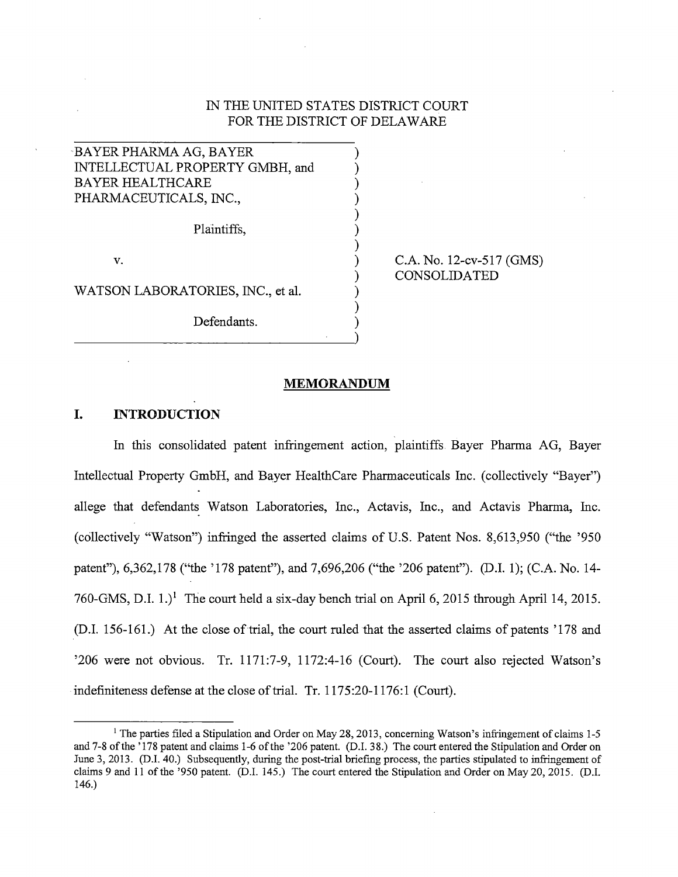## IN THE UNITED STATES DISTRICT COURT FOR THE DISTRICT OF DELAWARE

) ) ) ) ) ) ) ) ) ) ) )

BA YER PHARMA AG, BA YER INTELLECTUAL PROPERTY GMBH, and BA YER HEALTHCARE PHARMACEUTICALS, INC.,

Plaintiffs,

v.

WATSON LABORATORIES, INC., et al.

Defendants.

C.A. No. 12-cv-517 (GMS) CONSOLIDATED

#### **MEMORANDUM**

## **I. INTRODUCTION**

In this consolidated patent infringement action, plaintiffs Bayer Pharma AG, Bayer Intellectual Property GmbH, and Bayer HealthCare Pharmaceuticals Inc. (collectively "Bayer") allege that defendants Watson Laboratories, Inc., Actavis, Inc., and Actavis Pharma, Inc. (collectively "Watson") infringed the asserted claims of U.S. Patent Nos. 8,613,950 ("the '950 patent"), 6,362,178 ("the '178 patent"), and 7,696,206 ("the '206 patent"). (D.I. 1); (C.A. No. 14- 760-GMS, D.I.  $1$ .)<sup>1</sup> The court held a six-day bench trial on April 6, 2015 through April 14, 2015. (D.I. 156-161.) At the close of trial, the court ruled that the asserted claims of patents '178 and '206 were not obvious. Tr. 1171 :7-9, 1172:4-16 (Court). The court also rejected Watson's indefiniteness defense at the close of trial. Tr. 1175:20-1176:1 (Court).

<sup>&</sup>lt;sup>1</sup> The parties filed a Stipulation and Order on May 28, 2013, concerning Watson's infringement of claims 1-5 and 7-8 of the '178 patent and claims 1-6 of the '206 patent. (D.I. 38.) The court entered the Stipulation and Order on June 3, 2013. (D.I. 40.) Subsequently, during the post-trial briefing process, the parties stipulated to infringement of claims 9 and 11 of the '950 patent. (D.I. 145.) The court entered the Stipulation and Order on May 20, 2015. (D.I. 146.)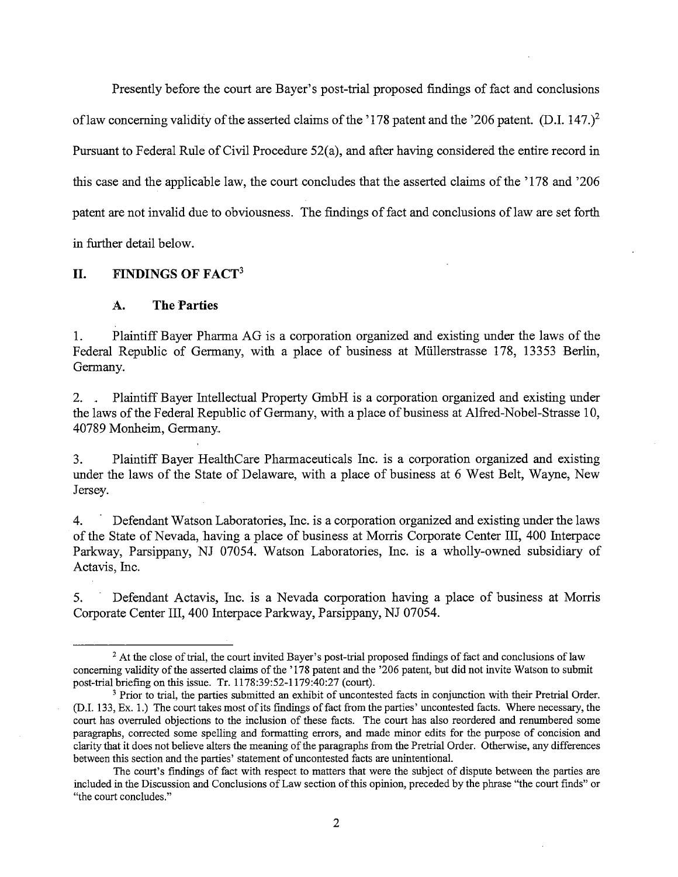Presently before the court are Bayer's post-trial proposed findings of fact and conclusions of law concerning validity of the asserted claims of the '178 patent and the '206 patent. (D.I. 147.)<sup>2</sup> Pursuant to Federal Rule of Civil Procedure 52(a), and after having considered the entire record in this case and the applicable law, the court concludes that the asserted claims of the '178 and '206 patent are not invalid due to obviousness. The findings of fact and conclusions of law are set forth in further detail below.

**II. FINDINGS OF FACT<sup>3</sup>**

#### A. **The Parties**

1. Plaintiff Bayer Pharma AG is a corporation organized and existing under the laws of the Federal Republic of Germany, with a place of business at Miillerstrasse 178, 13353 Berlin, Germany.

2. . Plaintiff Bayer Intellectual Property GmbH is a corporation organized and existing under the laws of the Federal Republic of Germany, with a place of business at Alfred-Nobel-Strasse 10, 40789 Manheim, Germany.

3. Plaintiff Bayer HealthCare Pharmaceuticals Inc. is a corporation organized and existing under the laws of the State of Delaware, with a place of business at 6 West Belt, Wayne, New Jersey.

4. - Defendant Watson Laboratories, Inc. is a corporation organized and existing under the laws of the State of Nevada, having a place of business at Morris Corporate Center III, 400 Interpace Parkway, Parsippany, NJ 07054. Watson Laboratories, Inc. is a wholly-owned subsidiary of Actavis, Inc.

5. · Defendant Actavis, Inc. is a Nevada corporation having a place of business at Morris Corporate Center III, 400 Interpace Parkway, Parsippany, NJ 07054.

<sup>&</sup>lt;sup>2</sup> At the close of trial, the court invited Bayer's post-trial proposed findings of fact and conclusions of law concerning validity of the asserted claims of the '178 patent and the '206 patent, but did not invite Watson to submit post-trial briefing on this issue. Tr. 1178:39:52-1179:40:27 (court).

<sup>&</sup>lt;sup>3</sup> Prior to trial, the parties submitted an exhibit of uncontested facts in conjunction with their Pretrial Order. (D.I. 133, Ex. 1.) The court takes most of its findings of fact from the parties' uncontested facts. Where necessary, the court has overruled objections to the inclusion of these facts. The court has also reordered and renumbered some paragraphs, corrected some spelling and formatting errors, and made minor edits for the purpose of concision and clarity that it does not believe alters the meaning of the paragraphs from the Pretrial Order. Otherwise, any differences between this section and the parties' statement of uncontested facts are unintentional.

The court's findings of fact with respect to matters that were the subject of dispute between the parties are included in the Discussion and Conclusions of Law section of this opinion, preceded by the phrase "the court finds" or "the court concludes."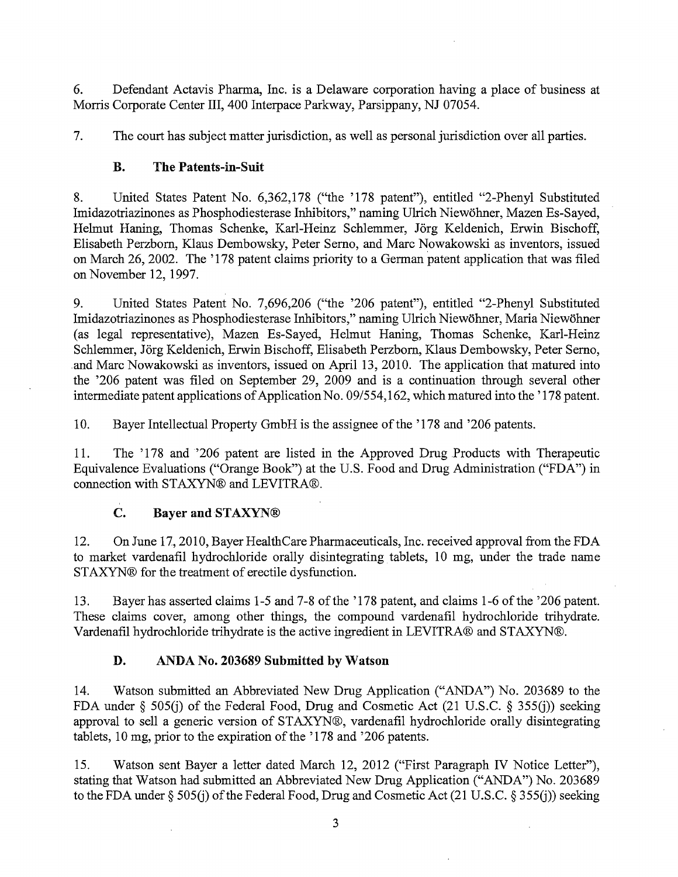6. Defendant Actavis Pharma, Inc. is a Delaware corporation having a place of business at Morris Corporate Center III, 400 Interpace Parkway, Parsippany, NJ 07054.

7. The court has subject matter jurisdiction, as well as personal jurisdiction over all parties.

# B. The Patents-in-Suit

8. United States Patent No. 6,362,178 (''the '178 patent"), entitled "2-Phenyl Substituted Imidazotriazinones as Phosphodiesterase Inhibitors," naming Ulrich Niewohner, Mazen Es-Sayed, Helmut Haning, Thomas Schenke, Karl-Heinz Schlemmer, Jörg Keldenich, Erwin Bischoff, Elisabeth Perzbom, Klaus Dembowsky, Peter Semo, and Marc Nowakowski as inventors, issued on March 26, 2002. The '178 patent claims priority to a German patent application that was filed on November 12, 1997.

9. United States Patent No. 7,696,206 ("the '206 patent"), entitled "2-Phenyl Substituted Imidazotriazinones as Phosphodiesterase Inhibitors," naming Ulrich Niewohner, Maria Niewohner (as legal representative), Mazen Es-Sayed, Helmut Haning, Thomas Schenke, Karl-Heinz Schlemmer, Jörg Keldenich, Erwin Bischoff, Elisabeth Perzborn, Klaus Dembowsky, Peter Serno, .and Marc Nowakowski as inventors, issued on April 13, 2010. The application that matured into the '206 patent was filed on September 29, 2009 and is a continuation through several other intermediate patent applications of Application No. 091554, 162, which matured into the '178 patent.

10. Bayer Intellectual Property GmbH is the assignee of the '178 and '206 patents.

11. The '178 and '206 patent are listed in the Approved Drug Products with Therapeutic Equivalence Evaluations ("Orange Book") at the U.S. Food and Drug Administration ("FDA") in connection with STAXYN® and LEVITRA®.

# C. Bayer and STAXYN®

12. On June 17, 2010, Bayer HealthCare Pharmaceuticals, Inc. received approval from the FDA to market vardenafil hydrochloride orally disintegrating tablets, 10 mg, under the trade name STAXYN® for the treatment of erectile dysfunction.

13. Bayer has asserted claims 1-5 and 7-8 of the '178 patent, and claims 1-6 of the '206 patent. These claims cover, among other things, the compound vardenafil hydrochloride trihydrate. Vardenafil hydrochloride trihydrate is the active ingredient in LEVITRA® and STAXYN®.

# D. ANDA No. 203689 Submitted by Watson

14. Watson submitted an Abbreviated New Drug Application ("ANDA") No. 203689 to the FDA under § 505(j) of the Federal Food, Drug and Cosmetic Act (21 U.S.C. § 355(j)) seeking approval to sell a generic version of STAXYN®, vardenafil hydrochloride orally disintegrating tablets, 10 mg, prior to the expiration of the '178 and '206 patents.

15. Watson sent Bayer a letter dated March 12, 2012 ("First Paragraph IV Notice Letter"), stating that Watson had submitted an Abbreviated New Drug Application ("ANDA") No. 203689 to the FDA under§ 505(j) of the Federal Food, Drug and Cosmetic Act (21 U.S.C. § 355(j)) seeking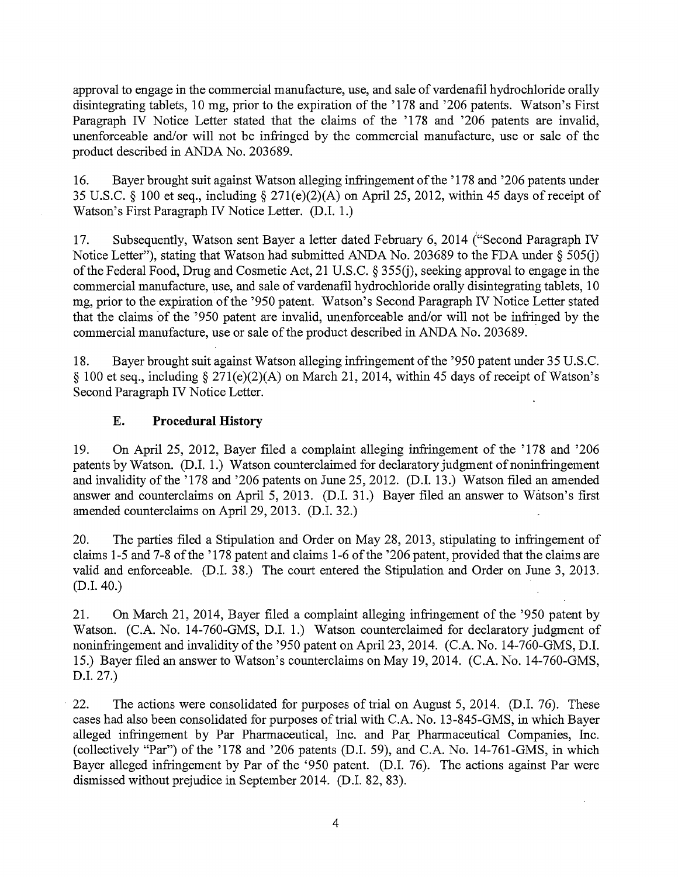approval to engage in the commercial manufacture, use, and sale of vardenafil hydrochloride orally disintegrating tablets, 10 mg, prior to the expiration of the '178 and '206 patents. Watson's First Paragraph IV Notice Letter stated that the claims of the '178 and '206 patents are invalid, unenforceable and/or will not be infringed by the commercial manufacture, use or sale of the product described in ANDA No. 203689.

16. Bayer brought suit against Watson alleging infringement of the '178 and '206 patents under 35 U.S.C. § 100 et seq., including§ 271(e)(2)(A) on April 25, 2012, within 45 days of receipt of Watson's First Paragraph IV Notice Letter. (D.I. 1.)

17. Subsequently, Watson sent Bayer a letter dated February 6, 2014 ("Second Paragraph IV Notice Letter"), stating that Watson had submitted ANDA No. 203689 to the FDA under  $\S 505(j)$ of the Federal Food, Drug and Cosmetic Act, 21 U.S.C. § 355G), seeking approval to engage in the commercial manufacture, use, and sale of vardenafil hydrochloride orally disintegrating tablets, 10 mg, prior to the expiration of the '950 patent. Watson's Second Paragraph IV Notice Letter stated that the claims of the '950 patent are invalid, unenforceable and/or will not be infringed by the commercial manufacture, use or sale of the product described in ANDA No. 203689.

18. Bayer brought suit against Watson alleging infringement of the '950 patent under 35 U.S.C. § 100 et seq., including§ 271(e)(2)(A) on March 21, 2014, within 45 days of receipt of Watson's Second Paragraph IV Notice Letter.

## **E. Procedural History**

19. On April 25, 2012, Bayer filed a complaint alleging infringement of the '178 and '206 patents by Watson. (D.I. 1.) Watson counterclaimed for declaratory judgment of noninfringement and invalidity of the '178 and '206 patents on June 25, 2012. (D.I. 13.) Watson filed an amended answer and counterclaims on April 5, 2013. (D.I. 31.) Bayer filed an answer to Watson's first amended counterclaims on April 29, 2013. (D.I. 32.)

20. The parties filed a Stipulation and Order on May 28, 2013, stipulating to infringement of claims 1-5 and 7-8 of the '178 patent and claims 1-6 of the '206 patent, provided that the claims are valid and enforceable. (D.I. 38.) The court entered the Stipulation and Order on June 3, 2013. (D.I. 40.)

21. On March 21, 2014, Bayer filed a complaint alleging infringement of the '950 patent by Watson. (C.A. No. 14-760-GMS, D.I. 1.) Watson counterclaimed for declaratory judgment of noninfringement and invalidity of the '950 patent on April 23, 2014. (C.A. No. 14-760-GMS, D.I. 15.) Bayer filed an answer to Watson's counterclaims on May 19, 2014. (C.A. No. 14-760-GMS, D.I. 27.)

22. The actions were consolidated for purposes of trial on August 5, 2014. (D.I. 76). These cases had also been consolidated for purposes of trial with C.A. No. 13-845-GMS, in which Bayer alleged infringement by Par Pharmaceutical, Inc. and Par Pharmaceutical Companies, Inc. (collectively "Par") of the '178 and '206 patents (D.I. 59), and C.A. No. 14-761-GMS, in which Bayer alleged infringement by Par of the '950 patent. (D.I. 76). The actions against Par were dismissed without prejudice in September 2014. (D.I. 82, 83).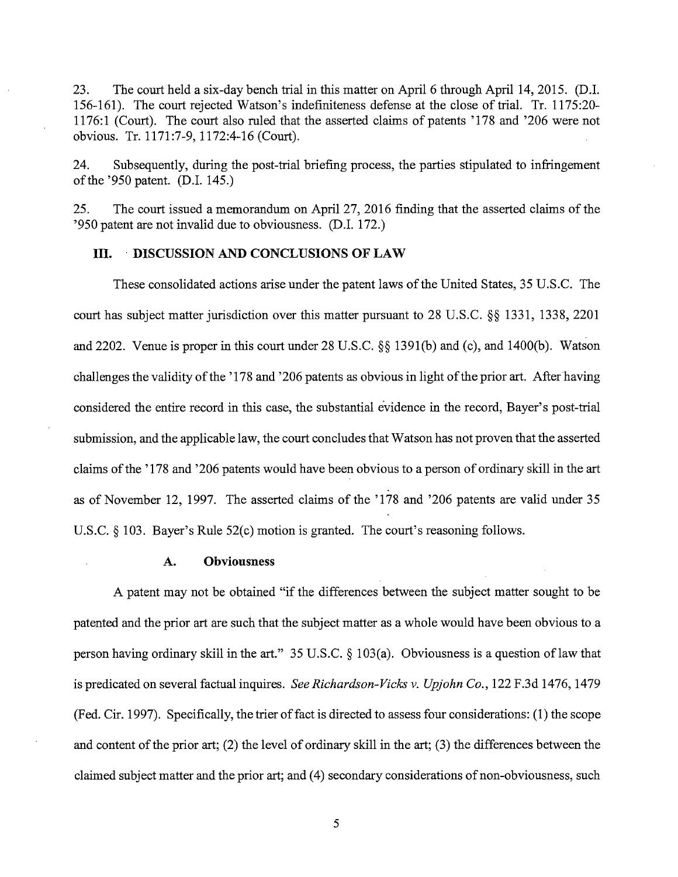23. The court held a six-day bench trial in this matter on April 6 through April 14, 2015. (D.I. 156-161). The court rejected Watson's indefiniteness defense at the close of trial. Tr. 1175:20- 1176: 1 (Court). The court also ruled that the asserted claims of patents '178 and '206 were not obvious. Tr. 1171 :7-9, 1172:4-16 (Court).

24. Subsequently, during the post-trial briefing process, the parties stipulated to infringement of the '950 patent. (D.I. 145.)

25. The court issued a memorandum on April 27, 2016 finding that the asserted claims of the '950 patent are not invalid due to obviousness. (D.I. 172.)

## III. · DISCUSSION AND CONCLUSIONS OF LAW

These consolidated actions arise under the patent laws of the United States, 35 U.S.C. The court has subject matter jurisdiction over this matter pursuant to 28 U.S.C. §§ 1331, 1338, 2201 and 2202. Venue is proper in this court under 28 U.S.C. §§ 1391(b) and (c), and 1400(b). Watson challenges the validity of the '178 and '206 patents as obvious in light of the prior art. After having considered the entire record in this case, the substantial evidence in the record, Bayer's post-trial submission, and the applicable law, the court concludes that Watson has not proven that the asserted claims of the '178 and '206 patents would have been obvious to a person of ordinary skill in the art as of November 12, 1997. The asserted claims of the '178 and '206 patents are valid under 35 U.S.C. § 103. Bayer's Rule 52(c) motion is granted. The court's reasoning follows.

## A. Obviousness

A patent may not be obtained "if the differences between the subject matter sought to be patented and the prior art are such that the subject matter as a whole would have been obvious to a person having ordinary skill in the art." 35 U.S.C.  $\S$  103(a). Obviousness is a question of law that is predicated on several factual inquires. *See Richardson-Vicks v. Upjohn Co.,* 122 F.3d 1476, 1479 (Fed. Cir. 1997). Specifically, the trier of fact is directed to assess four considerations: (1) the scope and content of the prior art; (2) the level of ordinary skill in the art; (3) the differences between the claimed subject matter and the prior art; and (4) secondary considerations of non-obviousness, such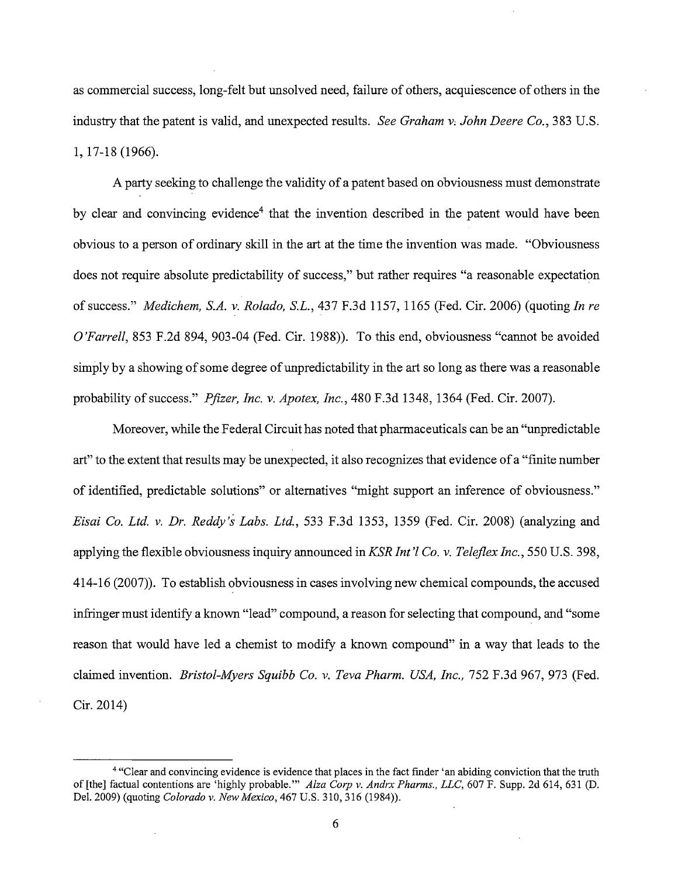as commercial success, long-felt but unsolved need, failure of others, acquiescence of others in the industry that the patent is valid, and unexpected results. *See Graham V; John Deere Co.,* 383 U.S. 1, 17-18 (1966).

A party seeking to challenge the validity of a patent based on obviousness must demonstrate by clear and convincing evidence<sup>4</sup> that the invention described in the patent would have been obvious to a person of ordinary skill in the art at the time the invention was made. "Obviousness does not require absolute predictability of success," but rather requires "a reasonable expectation of success." *Medichem, S.A. v. Rolado, S.L.,* 437 F.3d 1157, 1165 (Fed. Cir. 2006) (quoting *In re O'Farrell,* 853 F.2d 894, 903-04 (Fed. Cir. 1988)). To this end, obviousness "cannot be avoided simply by a showing of some degree of unpredictability in the art so long as there was a reasonable probability of success." *Pfizer, Inc. v. Apotex, Inc.,* 480 F.3d 1348, 1364 (Fed. Cir. 2007).

Moreover, while the Federal Circuit has noted that pharmaceuticals can be an "unpredictable art" to the. extent that results may be unexpected, it also recognizes that evidence of a "finite number of identified, predictable solutions" or alternatives "might support an inference of obviousness." *Eisai Co. Ltd. v. Dr. Reddy's Labs. Ltd.,* 533 F.3d 1353, 1359 (Fed. Cir. 2008) (analyzing and applying the flexible obviousness inquiry announced *inKSRint'l Co. v. Teleflex Inc.,* 550 U.S. 398, 414-16 (2007)). To establish obviousness in cases involving new chemical compounds, the accused infringer must identify a known "lead" compound, a reason for selecting that compound, and "some reason that would have led a chemist to modify a known compound" in a way that leads to the claimed invention. *Bristol-Myers Squibb Co. v. Teva Pharm. USA, Inc.,* 752 F.3d 967, 973 (Fed. Cir. 2014)

<sup>4 &</sup>quot;Clear and convincing evidence is evidence that places in the fact finder 'an abiding conviction that the truth of [the] factual contentions are 'highly probable."' *Alza Corp v. Andrx Pharms., LLC,* 607 F. Supp. 2d 614, 631 (D. Del. 2009) (quoting *Colorado v. New Mexico,* 467 U.S. 310, 316 (1984)).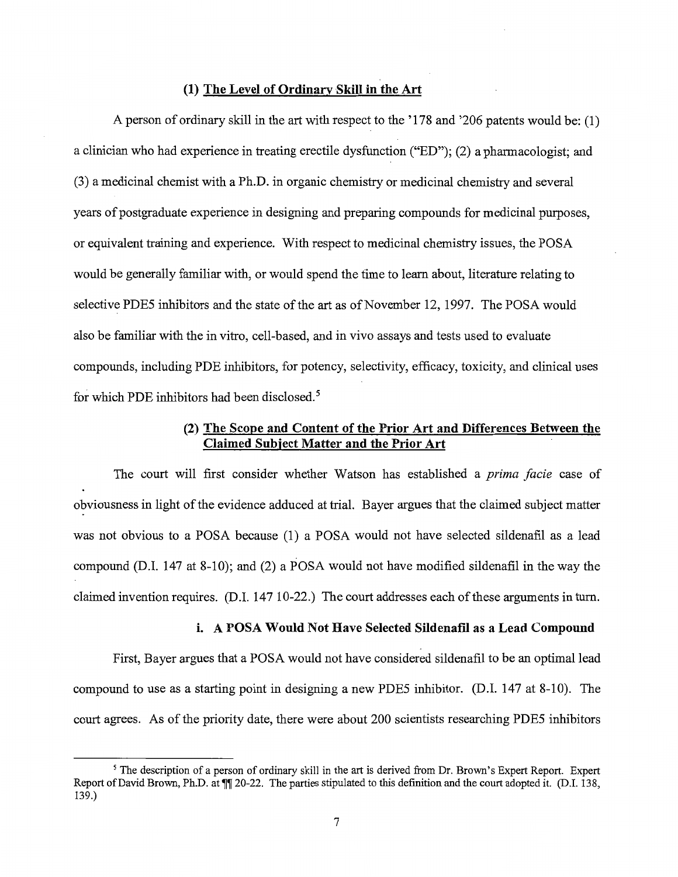## **(1) The Level of Ordinarv Skill in the Art**

A person of ordinary skill in the art with respect to the '178 and '206 patents would be: (1) a clinician who had experience in treating erectile dysfunction ("ED"); (2) a pharmacologist; and (3) a medicinal chemist with a Ph.D. in organic chemistry or medicinal chemistry and several years of postgraduate experience in designing and preparing compounds for medicinal purposes, or equivalent training and experience. With respect to medicinal chemistry issues, the POSA would be generally familiar with, or would spend the time to learn about, literature relating to selective PDE5 inhibitors and the state of the art as of November 12, 1997. The POSA would also be familiar with the in vitro, cell-based, and in vivo assays and tests used to evaluate compounds, including PDE inhibitors, for potency, selectivity, efficacy, toxicity, and clinical uses for which PDE inhibitors had been disclosed.<sup>5</sup>

## **(2) The Scope and Content of the Prior Art and Differences Between the Claimed Subject Matter and the Prior Art**

The court will first consider whether Watson has established a *prima facie* case of obviousness in light of the evidence adduced at trial. Bayer argues that the claimed subject matter was not obvious to a POSA because (1) a POSA would not have selected sildenafil as a lead compound (D.I. 147 at 8-10); and (2) a POSA would not have modified sildenafil in the way the claimed invention requires. (D.I. 147 10-22.) The court addresses each of these arguments in turn.

## **i. A POSA Would Not Have Selected Sildenafil as a Lead Compound**

First, Bayer argues that a POSA would not have considered sildenafil to be an optimal lead compound to use as a starting point in designing a new PDE5 inhibitor. (D.I. 147 at 8-10). The court agrees. As of the priority date, there were about 200 scientists researching PDE5 inhibitors

<sup>&</sup>lt;sup>5</sup> The description of a person of ordinary skill in the art is derived from Dr. Brown's Expert Report. Expert Report of David Brown, Ph.D. at  $\P$  20-22. The parties stipulated to this definition and the court adopted it. (D.I. 138, 139.)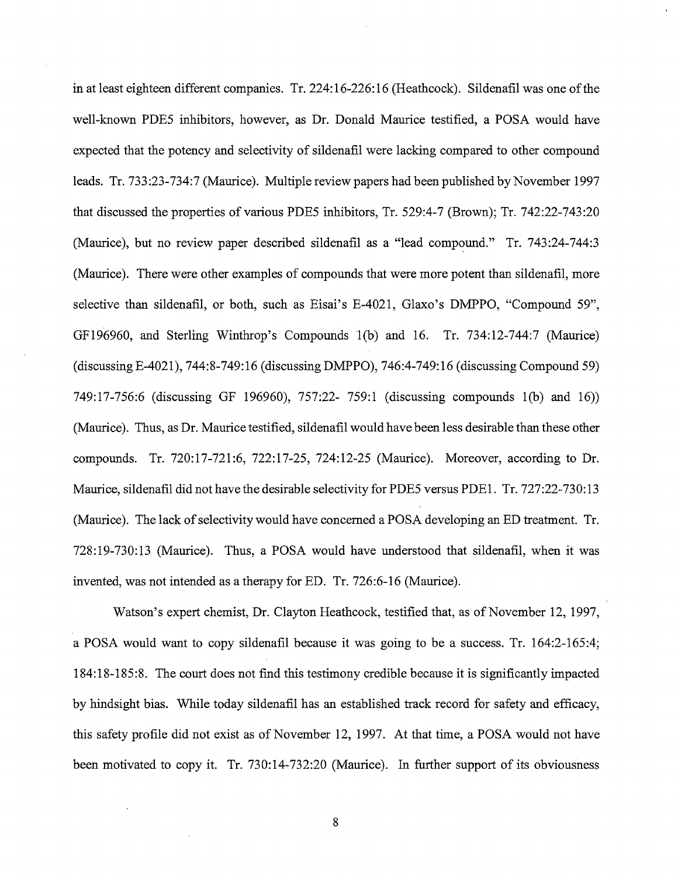in at least eighteen different companies. Tr. 224:16-226:16 (Heathcock). Sildenafil was one of the well-known PDE5 inhibitors, however, as Dr. Donald Maurice testified, a POSA would have expected that the potency and selectivity of sildenafil were lacking compared to other compound leads. Tr. 733:23-734:7 (Maurice). Multiple review papers had been published by November 1997 that discussed the properties of various PDE5 inhibitors, Tr. 529:4-7 (Brown); Tr. 742:22-743:20 (Maurice), but no review paper described sildenafil as a "lead compound." Tr. 743:24-744:3 (Maurice). There were other examples of compounds that were more potent than sildenafil, more selective than sildenafil, or both, such as Eisai's E-4021, Glaxo's DMPPO, "Compound 59'', GF196960, and Sterling Winthrop's Compounds l(b) and 16. Tr. 734:12-744:7 (Maurice) (discussing E-4021 ), 7 44: 8-749:16 (discussing DMPPO), 7 46 :4-749:16 (discussing Compound 59) 749:17-756:6 (discussing GF 196960), 757:22- 759:1 (discussing compounds l(b) and 16)) (Maurice). Thus, as Dr. Maurice testified, sildenafil would have been less desirable than these other compounds. Tr. 720:17-721:6, 722:17-25, 724:12-25 (Maurice). Moreover, according to Dr. Maurice, sildenafil did not have the desirable selectivity for PDE5 versus PDE1. Tr. 727:22-730:13 (Maurice). The lack of selectivity would have concerned a POSA developing an ED treatment. Tr. 728:19-730:13 (Maurice). Thus, a POSA would have understood that sildenafil, when it was invented, was not intended as a therapy for ED. Tr. 726:6-16 (Maurice).

Watson's expert chemist, Dr. Clayton Heathcock, testified that, as of November 12, 1997, a POSA would want to copy sildenafil because it was going to be a success. Tr. 164:2-165:4; 184: 18-185 :8. The court does not find this testimony credible because it is significantly impacted by hindsight bias. While today sildenafil has an established track record for safety and efficacy, this safety profile did not exist as of November 12, 1997. At that time, a POSA would not have been motivated to copy it. Tr. 730:14-732:20 (Maurice). In further support of its obviousness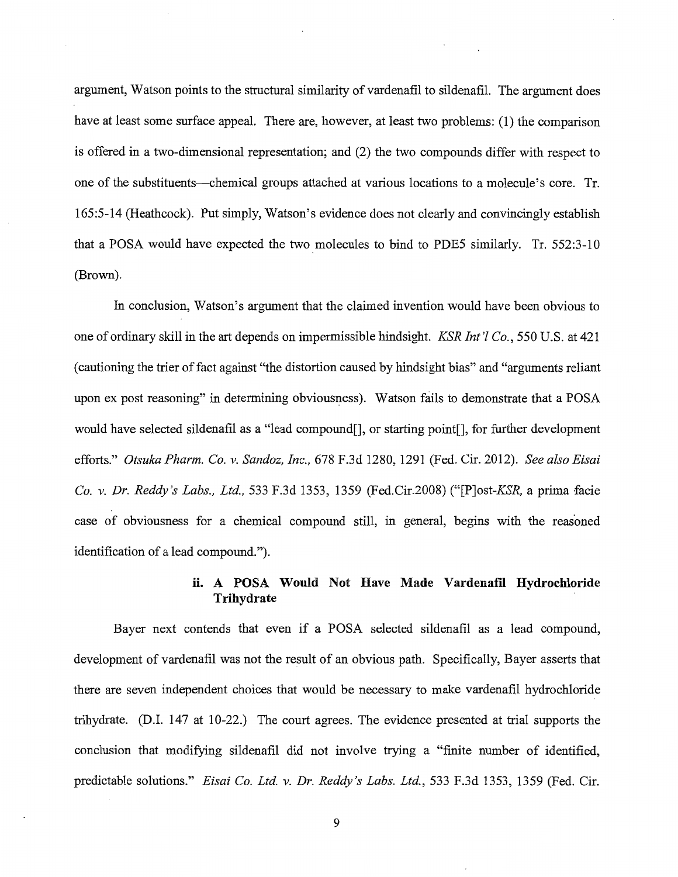argument, Watson points to the structural similarity of vardenafil to sildenafil. The argument does have at least some surface appeal. There are, however, at least two problems: (1) the comparison is offered in a two-dimensional representation; and (2) the two compounds differ with respect to one of the substituents--chemical groups attached at various locations to a molecule's core. Tr. 165:5-14 (Heathcock). Put simply, Watson's evidence does not clearly and convincingly establish that a POSA would have expected the two molecules to bind to PDE5 similarly. Tr. 552:3-10 (Brown).

In conclusion, Watson's argument that the claimed invention would have been obvious to one of ordinary skill in the art depends on impermissible hindsight. *KSR Int'! Co.,* 550 U.S. at 421 (cautioning the trier of fact against "the distortion caused by hindsight bias" and "arguments reliant upon ex post reasoning" in determining obviousness). Watson fails to demonstrate that a POSA would have selected sildenafil as a "lead compound[], or starting point[], for further development efforts." *Otsuka Pharm. Co. v. Sandoz, Inc.,* 678 F.3d 1280, 1291 (Fed. Cir. 2012). *See also Eisai Co. v. Dr. Reddy 's Labs., Ltd.,* 533 F.3d 1353, 1359 (Fed.Cir.2008) *("[P]ost-KSR,* a prima facie case of obviousness for a chemical compound still, in general, begins with the reasoned identification of a lead compound.").

## ii. A POSA Would Not Have Made Vardenafil Hydrochloride Trihydrate

Bayer next contends that even if a POSA selected sildenafil as a lead compound, development of vardenafil was not the result of an obvious path. Specifically, Bayer asserts that there are seven independent choices that would be necessary to make vardenafil hydrochloride trihydrate. (D.I. 147 at 10-22.) The court agrees. The evidence presented at trial supports the conclusion that modifying sildenafil did not involve trying a "finite number of identified, predictable solutions." *Eisai Co. Ltd. v. Dr. Reddy's Labs. Ltd.,* 533 F.3d 1353, 1359 (Fed. Cir.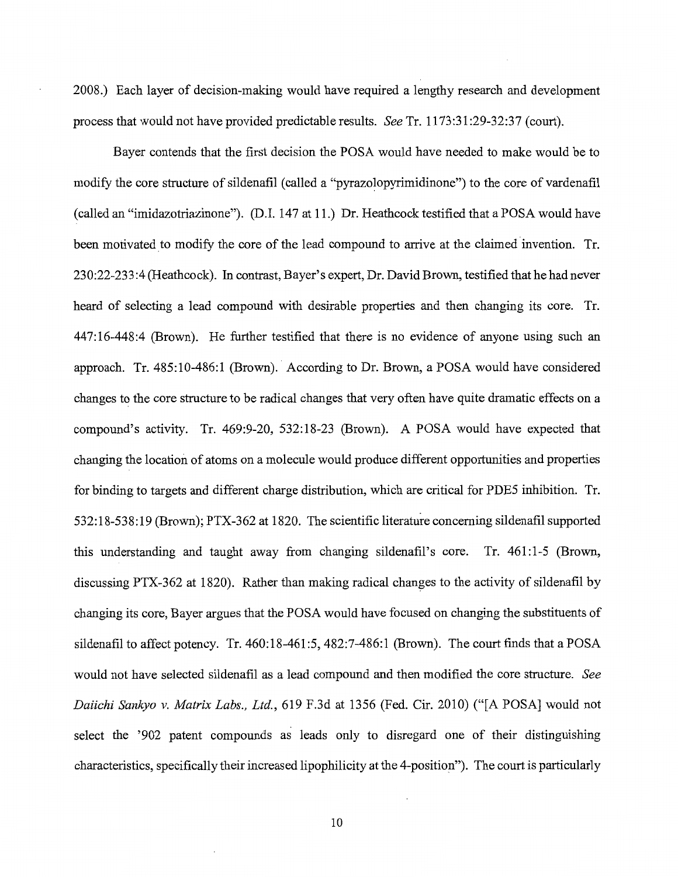2008.) Each layer of decision-making would have required a lengthy research and development process that would not have provided predictable results. *See* Tr. 1173 :31:29-32:37 (court).

Bayer contends that the first decision the POSA would have needed to make would be to modify the core structure of sildenafil (called a "pyrazolopyrimidinone") to the core of vardenafil (called an "imidazotriazinone"). (D.I. 147 at 11.) Dr. Heathcock testified that a POSA would have been motivated to modify the core of the lead compound to arrive at the claimed invention. Tr. 230:22-233:4 (Heathcock). In contrast, Bayer's expert, Dr. David Brown, testified that he had never heard of selecting a lead compound with desirable properties and then changing its core. Tr. 447:16-448:4 (Brown). He further testified that there is no evidence of anyone using such an approach. Tr. 485:10-486:1 (Brown). According to Dr. Brown, a POSA would have considered changes to the core structure to be radical changes that very often have quite dramatic effects on a compound's activity. Tr. 469:9-20, 532:18-23 (Brown). A POSA would have expected that changing the location of atoms on a molecule would produce different opportunities and properties for binding to targets and different charge distribution, which are critical for PDE5 inhibition. Tr. 532:18-538:19 (Brown); PTX-362 at 1820. The scientific literature concerning sildenafil supported this understanding and taught away from changing sildenafil's core. Tr. 461:1-5 (Brown, discussing PTX-362 at 1820). Rather than making radical changes to the activity of sildenafil by changing its core, Bayer argues that the POSA would have focused on changing the substituents of sildenafil to affect potency. Tr. 460:18-461:5, 482:7-486:1 (Brown). The court finds that a POSA would not have selected sildenafil as a lead compound and then modified the core structure. *See Daiichi Sankyo v. Matrix Labs., Ltd.,* 619 F.3d at 1356 (Fed. Cir. 2010) ("[A POSA] would not select the '902 patent compounds as leads only to disregard one of their distinguishing characteristics, specifically their increased lipophilicity at the 4-position"). The court is particularly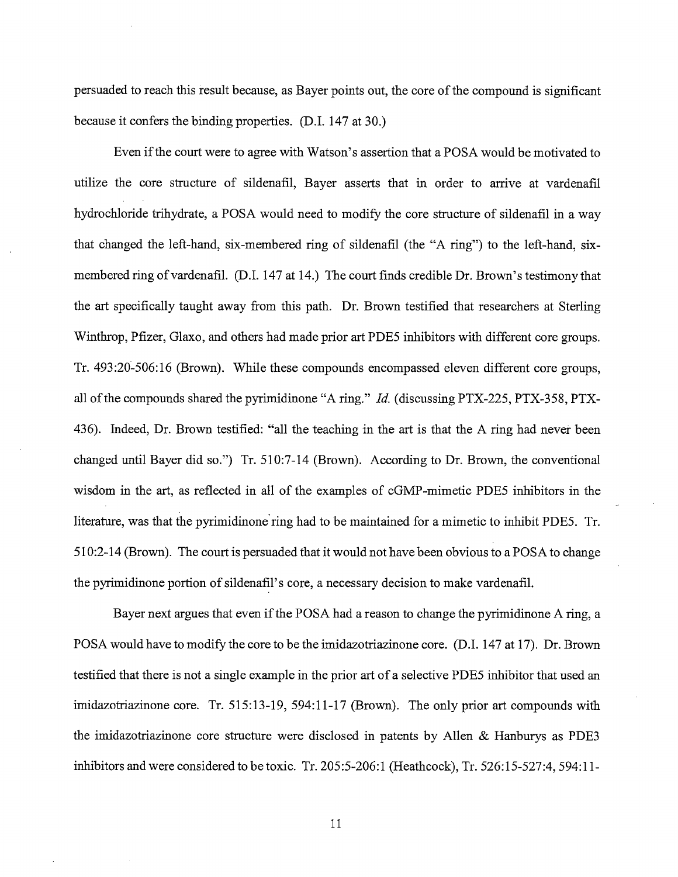persuaded to reach this result because, as Bayer points out, the core of the compound is significant because it confers the binding properties. (D.I. 147 at 30.)

Even if the court were to agree with Watson's assertion that a POSA would be motivated to utilize the core structure of sildenafil, Bayer asserts that in order to arrive at vardenafil hydrochloride trihydrate, a POSA would need to modify the core structure of sildenafil in a way that changed the left-hand, six-membered ring of sildenafil (the "A ring") to the left-hand, sixmembered ring of vardenafil. (D.I. 147 at 14.) The court finds credible Dr. Brown's testimony that the art specifically taught away from this path. Dr. Brown testified that researchers at Sterling Winthrop, Pfizer, Glaxo, and others had made prior art PDE5 inhibitors with different core groups. Tr. 493:20-506:16 (Brown). While these compounds encompassed eleven different core groups, all of the compounds shared the pyrimidinone "A ring." *Id.* (discussing PTX-225, PTX-358, PTX-436). Indeed, Dr. Brown testified: "all the teaching in the art is that the A ring had never been changed until Bayer did so.") Tr. 510:7-14 (Brown). According to Dr. Brown, the conventional wisdom in the art, as reflected in all of the examples of cGMP-mimetic PDE5 inhibitors in the literature, was that the pyrimidinone ring had to be maintained for a mimetic to inhibit PDE5. Tr. 510:2-14 (Brown). The court is persuaded that it would not have been obvious to a POSA to change the pyrimidinone portion of sildenafil's core, a necessary decision to make vardenafil.

Bayer next argues that even if the POSA had a reason to change the pyrimidinone A ring, a POSA would have to modify the core to be the imidazotriazinone core. (D.I. 147 at 17). Dr. Brown testified that there is not a single example in the prior art of a selective PDE5 inhibitor that used an imidazotriazinone core. Tr. 515:13-19, 594:11-17 (Brown). The only prior art compounds with the imidazotriazinone core structure were disclosed in patents by Allen & Hanburys as PDE3 inhibitors and were considered to be toxic. Tr. 205:5-206:1 (Heathcock), Tr. 526: 15-527 :4, 594: 11-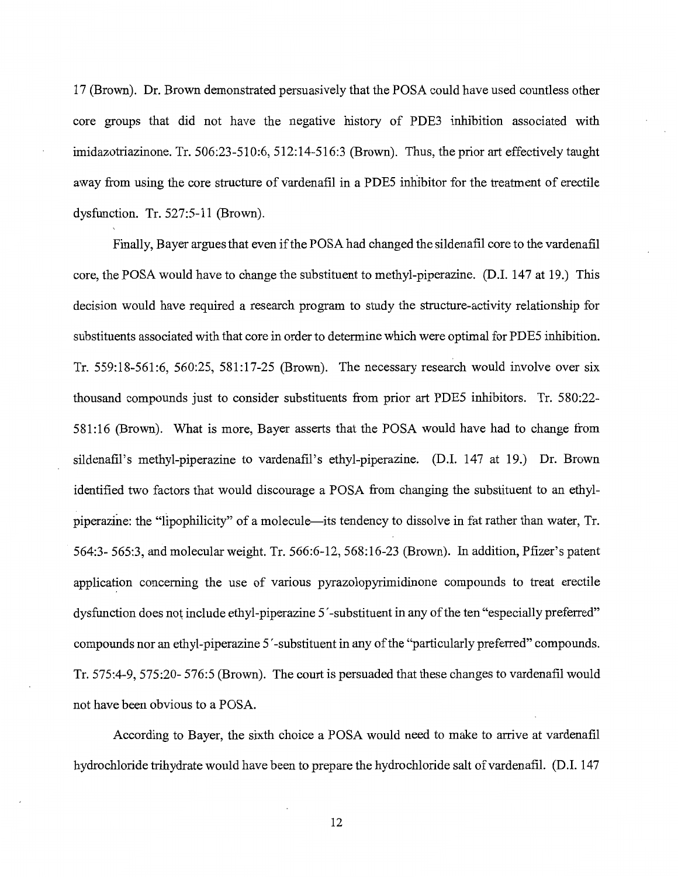17 (Brown). Dr. Brown demonstrated persuasively that the POSA could have used countless other core groups that did not have the negative history of PDE3 inhibition associated with imidazotriazinone. Tr. 506:23-510:6, 512:14-516:3 (Brown). Thus, the prior art effectively taught away from using the core structure of vardenafil in a PDE5 inhibitor for the treatment of erectile dysfunction. Tr. 527:5-11 (Brown).

Finally, Bayer argues that even if the POSA had changed the sildenafil core to the vardenafil core, the POSA would have to change the substituent to methyl-piperazine. (D.1. 147 at 19.) This decision would have required a research program to study the structure-activity relationship for substituents associated with that core in order to determine which were optimal for PDE5 inhibition. Tr. 559:18-561:6, 560:25, 581:17-25 (Brown). The necessary research would involve over six thousand compounds just to consider substituents from prior art PDE5 inhibitors. Tr. 580:22- 581: 16 (Brown). What is more, Bayer asserts that the POSA would have had to change from sildenafil's methyl-piperazine to vardenafil's ethyl-piperazine. (D.I. 147 at 19.) Dr. Brown identified two factors that would discourage a POSA from changing the substituent to an ethylpiperazine: the "lipophilicity" of a molecule—its tendency to dissolve in fat rather than water, Tr. 564:3- 565:3, and molecular weight. Tr. 566:6-12, 568:16-23 (Brown). In addition, Pfizer's patent application concerning the use of various pyrazolopyrimidinone compounds to treat erectile dysfunction does not include ethyl-piperazine 5 '-substituent in any of the ten "especially preferred" compounds nor an ethyl-piperazine 5 '-substituent in any of the "particularly preferred" compounds. Tr. 575:4-9, 575:20- 576:5 (Brown). The court is persuaded that these changes to vardenafil would not have been obvious to a POSA.

According to Bayer, the sixth choice a POSA would need to make to arrive at vardenafil hydrochloride trihydrate would have been to prepare the hydrochloride salt of vardenafil. (D.I. 147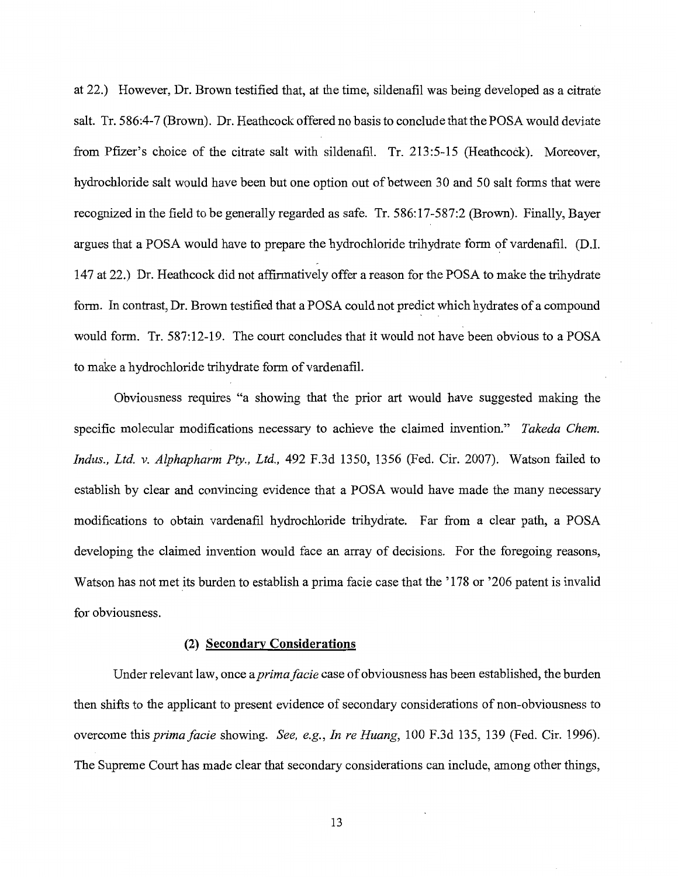at 22.) However, Dr. Brown testified that, at the time, sildenafil was being developed as a citrate salt. Tr. 586:4-7 (Brown). Dr. Heathcock offered no basis to conclude that the POSA would deviate from Pfizer's choice of the citrate salt with sildenafil. Tr. 213:5-15 (Heathcock). Moreover, hydrochloride salt would have been but one option out of between 30 and 50 salt forms that were recognized in the field to be generally regarded as safe. Tr. 586:17-587:2 (Brown). Finally, Bayer argues that a POSA would have to prepare the hydrochloride trihydrate form of vardenafil. (D.I. 147 at 22.) Dr. Heathcock did not affirmatively offer a reason for the POSA to make the trihydrate form. In contrast, Dr. Brown testified that a POSA could not predict which hydrates of a compound would form. Tr. 587:12-19. The court concludes that it would not have been obvious to a POSA to make a hydrochloride trihydrate form of vardenafil.

Obviousness requires "a showing that the prior art would have suggested making the specific molecular modifications necessary to achieve the claimed invention." *Takeda Chem. Indus., Ltd.* v. *Alphapharm Pty., Ltd.,* 492 F.3d 1350, 1356 (Fed. Cir. 2007). Watson failed to establish by clear and convincing evidence that a POSA would have made the many necessary modifications to obtain vardenafil hydrochloride trihydrate. Far from a clear path, a POSA developing the claimed invention would face an array of decisions. For the foregoing reasons, Watson has not met its burden to establish a prima facie case that the '178 or '206 patent is invalid for obviousness.

#### (2) **Secondary Considerations**

Under relevant law, once a *primafacie* case of obviousness has been established, the burden then shifts to the applicant to present evidence of secondary considerations of non-obviousness to overcome *thisprimafacie* showing. *See, e.g., In re Huang,* 100 F.3d 135, 139 (Fed. Cir. 1996). The Supreme Court has made clear that secondary considerations can include, among other things,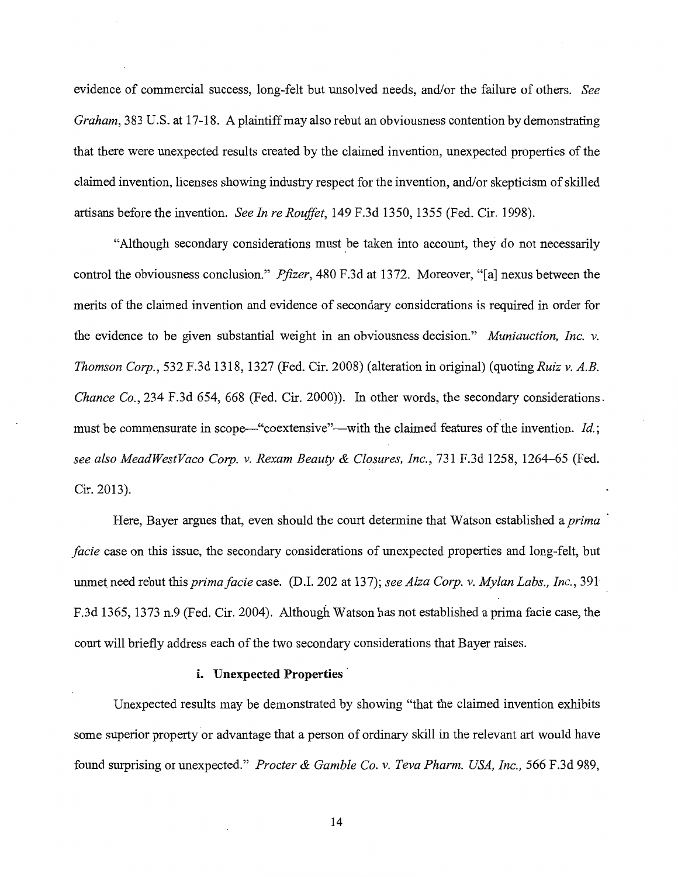evidence of commercial success, long-felt but unsolved needs, and/or the failure of others. *See Graham,* 383 U.S. at 17-18. A plaintiff may also rebut an obviousness contention by demonstrating that there were unexpected results created by the claimed invention, unexpected properties of the claimed invention, licenses showing industry respect for the invention, and/or skepticism of skilled artisans before the invention. *See In re Rouffet,* l 49 F.3d 1350, 1355 (Fed. Cir. 1998).

"Although secondary considerations must be taken into account, they do not necessarily control the obviousness conclusion." *Pfizer,* 480 F.3d at 1372. Moreover, "[a] nexus between the merits of the claimed invention and evidence of secondary considerations is required in order for the evidence to be given substantial weight in an obviousness decision." *Muniauction, Inc. v. Thomson Corp.,* 532 F.3d 1318, 1327 (Fed. Cir. 2008) (alteration in original) (quoting *Ruiz v. A.B. Chance Co.,* 234 F.3d 654, 668 (Fed. Cir. 2000)). In other words, the secondary considerations. must be commensurate in scope—"coextensive"—with the claimed features of the invention. *Id.*; *see also MeadWestVaco Corp. v. Rexam Beauty* & *Closures, Inc.,* 731F.3d1258, 1264-65 (Fed. Cir. 2013).

Here, Bayer argues that, even should the court determine that Watson established a *prima facie* case on this issue, the secondary considerations of unexpected properties and long-felt, but unmet need rebut this *primafacie* case. (D.I. 202 at 137); *see Alza Corp. v. Mylan Labs., Inc.,* 391 F.3d 1365, 1373 n.9 (Fed. Cir. 2004). Although Watson has not established a prima facie case, the court will briefly address each of the two secondary considerations that Bayer raises.

## i. Unexpected Properties

Unexpected results may be demonstrated by showing "that the claimed invention exhibits some superior property or advantage that a person of ordinary skill in the relevant art would have found surprising or unexpected." *Procter* & *Gamble Co. v. Teva Pharm. USA, Inc.,* 566 F.3d 989,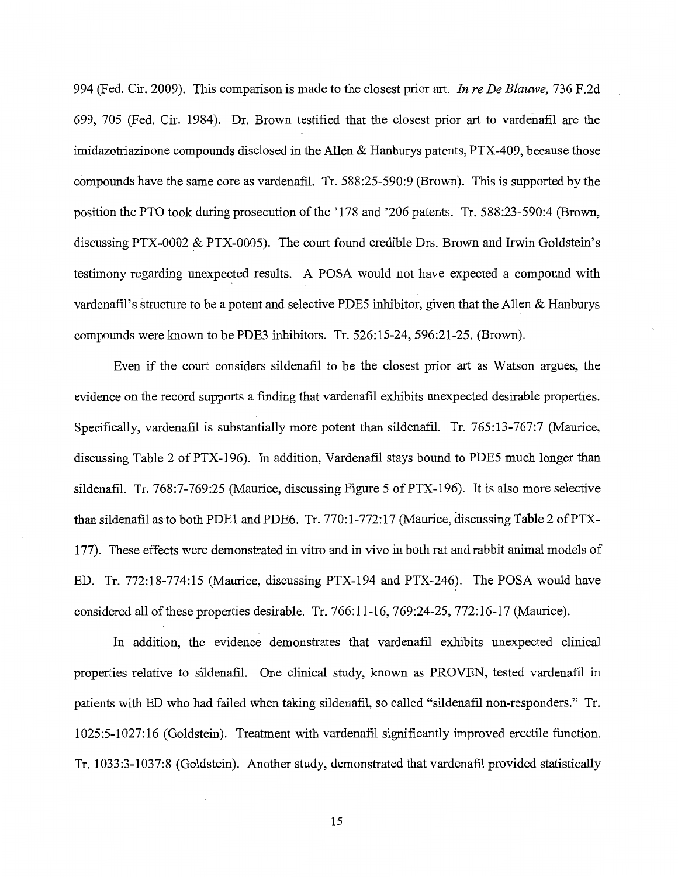994 (Fed. Cir. 2009). This comparison is made to the closest prior art. *In re De Blauwe,* 736 F.2d 699, 705 (Fed. Cir. 1984). Dr. Brown testified that the closest prior art to vardenafil are the imidazotriazinone compounds disclosed in the Allen & Hanburys patents, PTX-409, because those compounds have the same core as vardenafil. Tr. 588:25-590:9 (Brown). This is supported by the position the PTO took during prosecution of the '178 and '206 patents. Tr. 588:23-590:4 (Brown, discussing PTX-0002  $&$  PTX-0005). The court found credible Drs. Brown and Irwin Goldstein's testimony regarding unexpected results. A POSA would not have expected a compound with vardenafil's structure to be a potent and selective PDE5 inhibitor, given that the Allen & Hanburys compounds were known to be PDE3 inhibitors. Tr. 526:15-24, 596:21-25. (Brown).

Even if the court considers sildenafil to be the closest prior art as Watson argues, the evidence on the record supports a finding that vardenafil exhibits unexpected desirable properties. Specifically, vardenafil is substantially more potent than sildenafil. Tr. 765:13-767:7 (Maurice, discussing Table 2 of PTX-196). In addition, Vardenafil stays bound to PDE5 much longer than sildenafil. Tr. 768:7-769:25 (Maurice, discussing Figure 5 of PTX-196). It is also more selective than sildenafil as to both PDE1 and PDE6. Tr. 770:1-772:17 (Maurice, discussing Table 2 of PTX-177). These effects were demonstrated in vitro and in vivo in both rat and rabbit animal models of ED. Tr. 772:18-774:15 (Maurice, discussing PTX-194 and PTX-246). The POSA would have considered all of these properties desirable. Tr. 766:11-16, 769:24-25, 772:16-17 (Maurice).

In addition, the evidence demonstrates that vardenafil exhibits unexpected clinical properties relative to sildenafil. One clinical study, known as PROVEN, tested vardenafil in patients with ED who had failed when taking sildenafil, so called "sildenafil non-responders." Tr. 1025:5~1027:16 (Goldstein). Treatment with vardenafil significantly improved erectile function. Tr. 1033:3-1037:8 (Goldstein). Another study, demonstrated that vardenafil provided statistically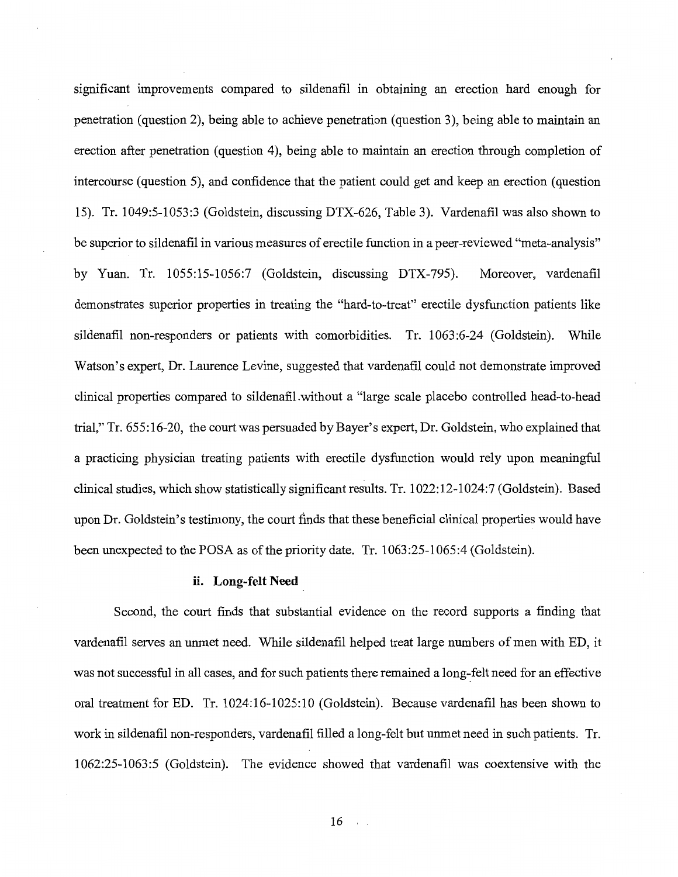significant improvements compared to sildenafil in obtaining an erection hard enough for penetration (question 2), being able to achieve penetration (question 3), being able to maintain an erection after penetration (question 4), being able to maintain an erection through completion of intercourse (question 5), and confidence that the patient could get and keep an erection (question 15). Tr. 1049:5-1053:3 (Goldstein, discussing DTX-626, Table 3). Vardenafil was also shown to be superior to sildenafil in various measures of erectile function in a peer-reviewed "meta-analysis" by Yuan. Tr. 1055:15-1056:7 (Goldstein, discussing DTX-795). Moreover, vardenafil demonstrates superior properties in treating the "hard-to-treat" erectile dysfunction patients like sildenafil non-responders or patients with comorbidities. Tr. 1063:6-24 (Goldstein). While Watson's expert, Dr. Laurence Levine, suggested that vardenafil could not demonstrate improved clinical properties compared to sildenafil.without a "large scale placebo controlled head-to-head trial," Tr. 655: 16-20, the court was persuaded by Bayer's expert, Dr. Goldstein, who explained that a practicing physician treating patients with erectile dysfunction would rely upon meaningful clinical studies, which show statistically significant results. Tr. 1022:12-1024:7 (Goldstein). Based upon Dr. Goldstein's testimony, the court finds that these beneficial clinical properties would have been unexpected to the POSA as of the priority date. Tr. 1063:25-1065:4 (Goldstein).

#### **ii. Long-felt Need**

Second, the court finds that substantial evidence on the record supports a finding that vardenafil serves an unmet need. While sildenafil helped treat large numbers of men with ED, it was not successful in all cases, and for such patients there remained a long-felt need for an effective oral treatment for ED. Tr. 1024:16-1025:10 (Goldstein). Because vardenafil has been shown to work in sildenafil non-responders, vardenafil filled a long-felt but unmet need in such patients. Tr. 1062:25-1063:5 (Goldstein). The evidence showed that vardenafil was coextensive with the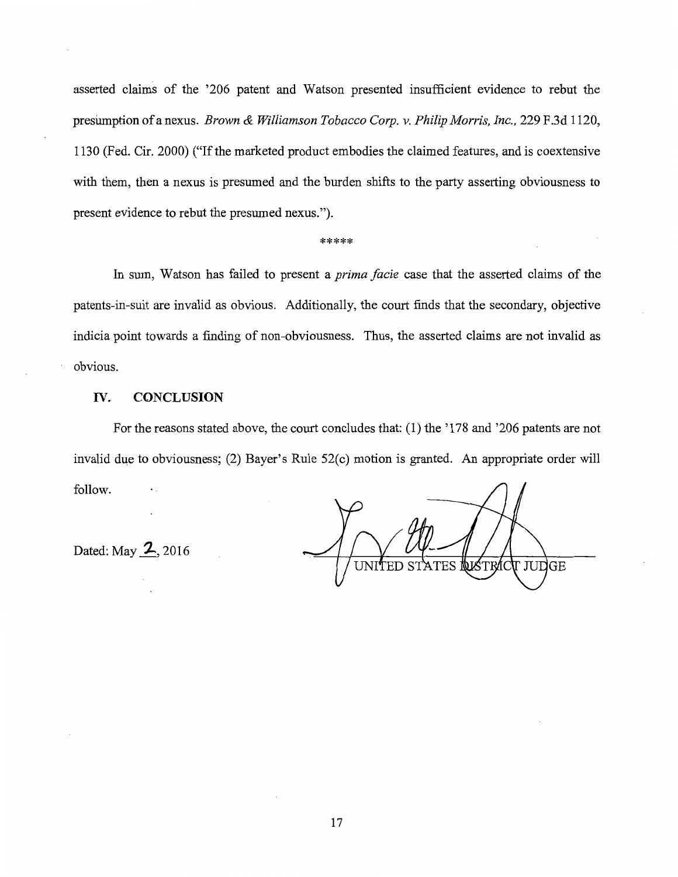asserted claims of the '206 patent and Watson presented insufficient evidence to rebut the presllinption of a nexus. *Brown* & *Williamson Tobacco Corp. v. Philip Morris, Inc.,* 229 F.3d 1120, 1130 (Fed. Cir. 2000) ("If the marketed product embodies the claimed features, and is coextensive with them, then a nexus is presumed and the burden shifts to the party asserting obviousness to present evidence to rebut the presumed nexus.").

#### \*\*\*\*\*

In sum, Watson has failed to present a *prima facie* case that the asserted claims of the patents-in-suit are invalid as obvious. Additionally, the court finds that the secondary, objective indicia point towards a finding of non-obviousness. Thus, the asserted claims are not invalid as obvious.

## **IV. CONCLUSION**

For the reasons stated above, the court concludes that: (1) the '178 and '206 patents are not invalid due to obviousness; (2) Bayer's Rule 52(c) motion is granted. An appropriate order will follow.

Dated: May **Z.,** 2016

UNITED **USTRAC** I JUDGE